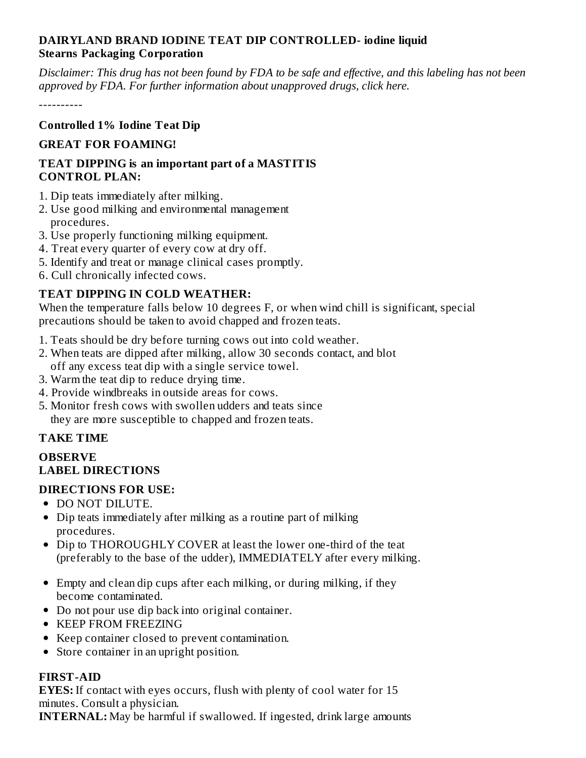# **DAIRYLAND BRAND IODINE TEAT DIP CONTROLLED- iodine liquid Stearns Packaging Corporation**

Disclaimer: This drug has not been found by FDA to be safe and effective, and this labeling has not been *approved by FDA. For further information about unapproved drugs, click here.*

----------

#### **Controlled 1% Iodine Teat Dip**

### **GREAT FOR FOAMING!**

#### **TEAT DIPPING is an important part of a MASTITIS CONTROL PLAN:**

- 1. Dip teats immediately after milking.
- 2. Use good milking and environmental management procedures.
- 3. Use properly functioning milking equipment.
- 4. Treat every quarter of every cow at dry off.
- 5. Identify and treat or manage clinical cases promptly.
- 6. Cull chronically infected cows.

# **TEAT DIPPING IN COLD WEATHER:**

When the temperature falls below 10 degrees F, or when wind chill is significant, special precautions should be taken to avoid chapped and frozen teats.

- 1. Teats should be dry before turning cows out into cold weather.
- 2. When teats are dipped after milking, allow 30 seconds contact, and blot off any excess teat dip with a single service towel.
- 3. Warm the teat dip to reduce drying time.
- 4. Provide windbreaks in outside areas for cows.
- 5. Monitor fresh cows with swollen udders and teats since they are more susceptible to chapped and frozen teats.

### **TAKE TIME**

# **OBSERVE LABEL DIRECTIONS**

### **DIRECTIONS FOR USE:**

- DO NOT DILUTE.
- Dip teats immediately after milking as a routine part of milking procedures.
- Dip to THOROUGHLY COVER at least the lower one-third of the teat (preferably to the base of the udder), IMMEDIATELY after every milking.
- Empty and clean dip cups after each milking, or during milking, if they become contaminated.
- Do not pour use dip back into original container.
- KEEP FROM FREEZING
- Keep container closed to prevent contamination.
- Store container in an upright position.

### **FIRST-AID**

**EYES:** If contact with eyes occurs, flush with plenty of cool water for 15 minutes. Consult a physician.

**INTERNAL:** May be harmful if swallowed. If ingested, drink large amounts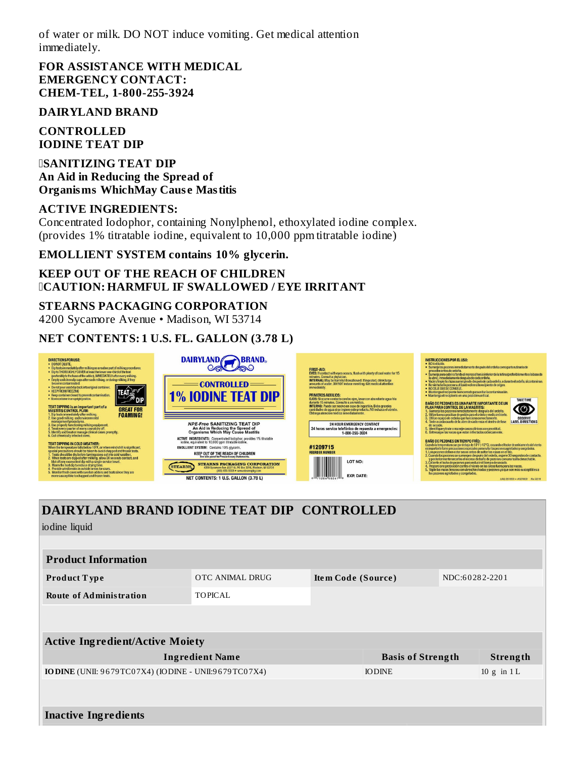of water or milk. DO NOT induce vomiting. Get medical attention immediately.

**FOR ASSISTANCE WITH MEDICAL EMERGENCY CONTACT: CHEM-TEL, 1-800-255-3924**

#### **DAIRYLAND BRAND**

**CONTROLLED IODINE TEAT DIP**

**SANITIZING TEAT DIP An Aid in Reducing the Spread of Organisms WhichMay Caus e Mastitis**

#### **ACTIVE INGREDIENTS:**

Concentrated Iodophor, containing Nonylphenol, ethoxylated iodine complex. (provides 1% titratable iodine, equivalent to 10,000 ppm titratable iodine)

**EMOLLIENT SYSTEM contains 10% glycerin.**

#### **KEEP OUT OF THE REACH OF CHILDREN CAUTION: HARMFUL IF SWALLOWED / EYE IRRITANT**

#### **STEARNS PACKAGING CORPORATION**

4200 Sycamore Avenue • Madison, WI 53714

#### **NET CONTENTS: 1 U.S. FL. GALLON (3.78 L)**



# **DAIRYLAND BRAND IODINE TEAT DIP CONTROLLED**

iodine liquid

| <b>Product Information</b>                           |                 |                          |  |                 |  |  |  |  |
|------------------------------------------------------|-----------------|--------------------------|--|-----------------|--|--|--|--|
| <b>Product Type</b>                                  | OTC ANIMAL DRUG | Item Code (Source)       |  | NDC:60282-2201  |  |  |  |  |
| <b>Route of Administration</b>                       | <b>TOPICAL</b>  |                          |  |                 |  |  |  |  |
|                                                      |                 |                          |  |                 |  |  |  |  |
| <b>Active Ingredient/Active Moiety</b>               |                 |                          |  |                 |  |  |  |  |
| <b>Ingredient Name</b>                               |                 | <b>Basis of Strength</b> |  | Strength        |  |  |  |  |
| IODINE (UNII: 9679TC07X4) (IODINE - UNII:9679TC07X4) |                 | <b>IODINE</b>            |  | $10$ g in $1$ L |  |  |  |  |
|                                                      |                 |                          |  |                 |  |  |  |  |
| <b>Inactive Ingredients</b>                          |                 |                          |  |                 |  |  |  |  |